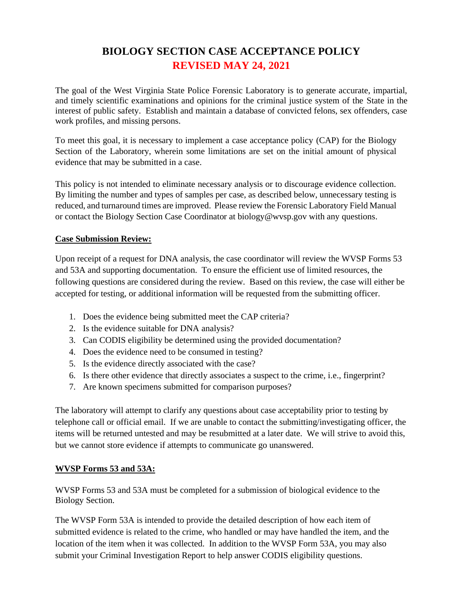# **BIOLOGY SECTION CASE ACCEPTANCE POLICY REVISED MAY 24, 2021**

The goal of the West Virginia State Police Forensic Laboratory is to generate accurate, impartial, and timely scientific examinations and opinions for the criminal justice system of the State in the interest of public safety. Establish and maintain a database of convicted felons, sex offenders, case work profiles, and missing persons.

To meet this goal, it is necessary to implement a case acceptance policy (CAP) for the Biology Section of the Laboratory, wherein some limitations are set on the initial amount of physical evidence that may be submitted in a case.

This policy is not intended to eliminate necessary analysis or to discourage evidence collection. By limiting the number and types of samples per case, as described below, unnecessary testing is reduced, and turnaround times are improved. Please review the Forensic Laboratory Field Manual or contact the Biology Section Case Coordinator at biology@wvsp.gov with any questions.

#### **Case Submission Review:**

Upon receipt of a request for DNA analysis, the case coordinator will review the WVSP Forms 53 and 53A and supporting documentation. To ensure the efficient use of limited resources, the following questions are considered during the review. Based on this review, the case will either be accepted for testing, or additional information will be requested from the submitting officer.

- 1. Does the evidence being submitted meet the CAP criteria?
- 2. Is the evidence suitable for DNA analysis?
- 3. Can CODIS eligibility be determined using the provided documentation?
- 4. Does the evidence need to be consumed in testing?
- 5. Is the evidence directly associated with the case?
- 6. Is there other evidence that directly associates a suspect to the crime, i.e., fingerprint?
- 7. Are known specimens submitted for comparison purposes?

The laboratory will attempt to clarify any questions about case acceptability prior to testing by telephone call or official email. If we are unable to contact the submitting/investigating officer, the items will be returned untested and may be resubmitted at a later date. We will strive to avoid this, but we cannot store evidence if attempts to communicate go unanswered.

#### **WVSP Forms 53 and 53A:**

WVSP Forms 53 and 53A must be completed for a submission of biological evidence to the Biology Section.

The WVSP Form 53A is intended to provide the detailed description of how each item of submitted evidence is related to the crime, who handled or may have handled the item, and the location of the item when it was collected. In addition to the WVSP Form 53A, you may also submit your Criminal Investigation Report to help answer CODIS eligibility questions.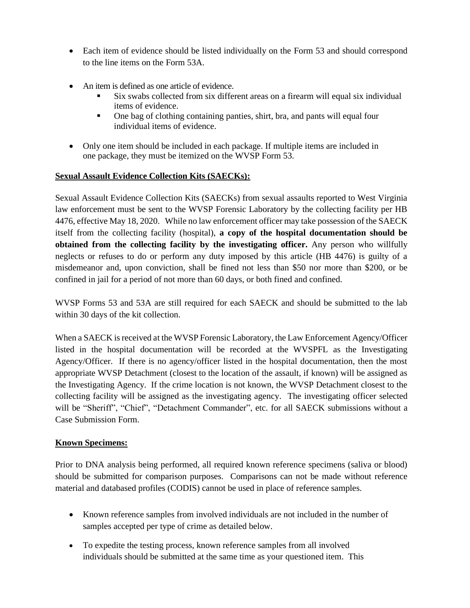- Each item of evidence should be listed individually on the Form 53 and should correspond to the line items on the Form 53A.
- An item is defined as one article of evidence.
	- Six swabs collected from six different areas on a firearm will equal six individual items of evidence.
	- One bag of clothing containing panties, shirt, bra, and pants will equal four individual items of evidence.
- Only one item should be included in each package. If multiple items are included in one package, they must be itemized on the WVSP Form 53.

#### **Sexual Assault Evidence Collection Kits (SAECKs):**

Sexual Assault Evidence Collection Kits (SAECKs) from sexual assaults reported to West Virginia law enforcement must be sent to the WVSP Forensic Laboratory by the collecting facility per HB 4476, effective May 18, 2020. While no law enforcement officer may take possession of the SAECK itself from the collecting facility (hospital), **a copy of the hospital documentation should be obtained from the collecting facility by the investigating officer.** Any person who willfully neglects or refuses to do or perform any duty imposed by this article (HB 4476) is guilty of a misdemeanor and, upon conviction, shall be fined not less than \$50 nor more than \$200, or be confined in jail for a period of not more than 60 days, or both fined and confined.

WVSP Forms 53 and 53A are still required for each SAECK and should be submitted to the lab within 30 days of the kit collection.

When a SAECK is received at the WVSP Forensic Laboratory, the Law Enforcement Agency/Officer listed in the hospital documentation will be recorded at the WVSPFL as the Investigating Agency/Officer. If there is no agency/officer listed in the hospital documentation, then the most appropriate WVSP Detachment (closest to the location of the assault, if known) will be assigned as the Investigating Agency. If the crime location is not known, the WVSP Detachment closest to the collecting facility will be assigned as the investigating agency. The investigating officer selected will be "Sheriff", "Chief", "Detachment Commander", etc. for all SAECK submissions without a Case Submission Form.

# **Known Specimens:**

Prior to DNA analysis being performed, all required known reference specimens (saliva or blood) should be submitted for comparison purposes. Comparisons can not be made without reference material and databased profiles (CODIS) cannot be used in place of reference samples.

- Known reference samples from involved individuals are not included in the number of samples accepted per type of crime as detailed below.
- To expedite the testing process, known reference samples from all involved individuals should be submitted at the same time as your questioned item. This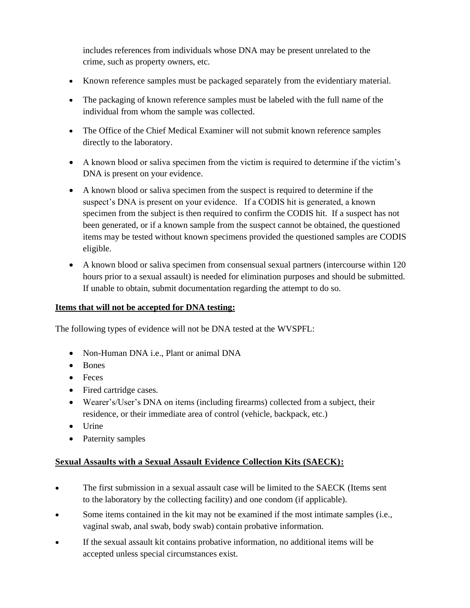includes references from individuals whose DNA may be present unrelated to the crime, such as property owners, etc.

- Known reference samples must be packaged separately from the evidentiary material.
- The packaging of known reference samples must be labeled with the full name of the individual from whom the sample was collected.
- The Office of the Chief Medical Examiner will not submit known reference samples directly to the laboratory.
- A known blood or saliva specimen from the victim is required to determine if the victim's DNA is present on your evidence.
- A known blood or saliva specimen from the suspect is required to determine if the suspect's DNA is present on your evidence. If a CODIS hit is generated, a known specimen from the subject is then required to confirm the CODIS hit. If a suspect has not been generated, or if a known sample from the suspect cannot be obtained, the questioned items may be tested without known specimens provided the questioned samples are CODIS eligible.
- A known blood or saliva specimen from consensual sexual partners (intercourse within 120 hours prior to a sexual assault) is needed for elimination purposes and should be submitted. If unable to obtain, submit documentation regarding the attempt to do so.

### **Items that will not be accepted for DNA testing:**

The following types of evidence will not be DNA tested at the WVSPFL:

- Non-Human DNA i.e., Plant or animal DNA
- Bones
- Feces
- Fired cartridge cases.
- Wearer's/User's DNA on items (including firearms) collected from a subject, their residence, or their immediate area of control (vehicle, backpack, etc.)
- Urine
- Paternity samples

# **Sexual Assaults with a Sexual Assault Evidence Collection Kits (SAECK):**

- The first submission in a sexual assault case will be limited to the SAECK (Items sent to the laboratory by the collecting facility) and one condom (if applicable).
- Some items contained in the kit may not be examined if the most intimate samples (i.e., vaginal swab, anal swab, body swab) contain probative information.
- If the sexual assault kit contains probative information, no additional items will be accepted unless special circumstances exist.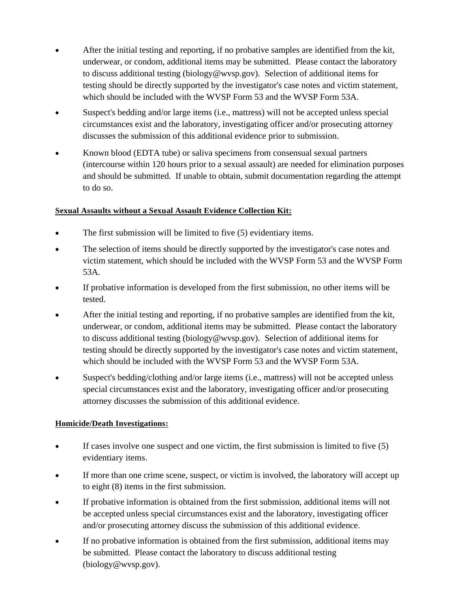- After the initial testing and reporting, if no probative samples are identified from the kit, underwear, or condom, additional items may be submitted. Please contact the laboratory to discuss additional testing (biology@wvsp.gov). Selection of additional items for testing should be directly supported by the investigator's case notes and victim statement, which should be included with the WVSP Form 53 and the WVSP Form 53A.
- Suspect's bedding and/or large items (i.e., mattress) will not be accepted unless special circumstances exist and the laboratory, investigating officer and/or prosecuting attorney discusses the submission of this additional evidence prior to submission.
- Known blood (EDTA tube) or saliva specimens from consensual sexual partners (intercourse within 120 hours prior to a sexual assault) are needed for elimination purposes and should be submitted. If unable to obtain, submit documentation regarding the attempt to do so.

#### **Sexual Assaults without a Sexual Assault Evidence Collection Kit:**

- The first submission will be limited to five (5) evidentiary items.
- The selection of items should be directly supported by the investigator's case notes and victim statement, which should be included with the WVSP Form 53 and the WVSP Form 53A.
- If probative information is developed from the first submission, no other items will be tested.
- After the initial testing and reporting, if no probative samples are identified from the kit, underwear, or condom, additional items may be submitted. Please contact the laboratory to discuss additional testing (biology@wvsp.gov). Selection of additional items for testing should be directly supported by the investigator's case notes and victim statement, which should be included with the WVSP Form 53 and the WVSP Form 53A.
- Suspect's bedding/clothing and/or large items (i.e., mattress) will not be accepted unless special circumstances exist and the laboratory, investigating officer and/or prosecuting attorney discusses the submission of this additional evidence.

#### **Homicide/Death Investigations:**

- If cases involve one suspect and one victim, the first submission is limited to five  $(5)$ evidentiary items.
- If more than one crime scene, suspect, or victim is involved, the laboratory will accept up to eight (8) items in the first submission.
- If probative information is obtained from the first submission, additional items will not be accepted unless special circumstances exist and the laboratory, investigating officer and/or prosecuting attorney discuss the submission of this additional evidence.
- If no probative information is obtained from the first submission, additional items may be submitted. Please contact the laboratory to discuss additional testing (biology@wvsp.gov).